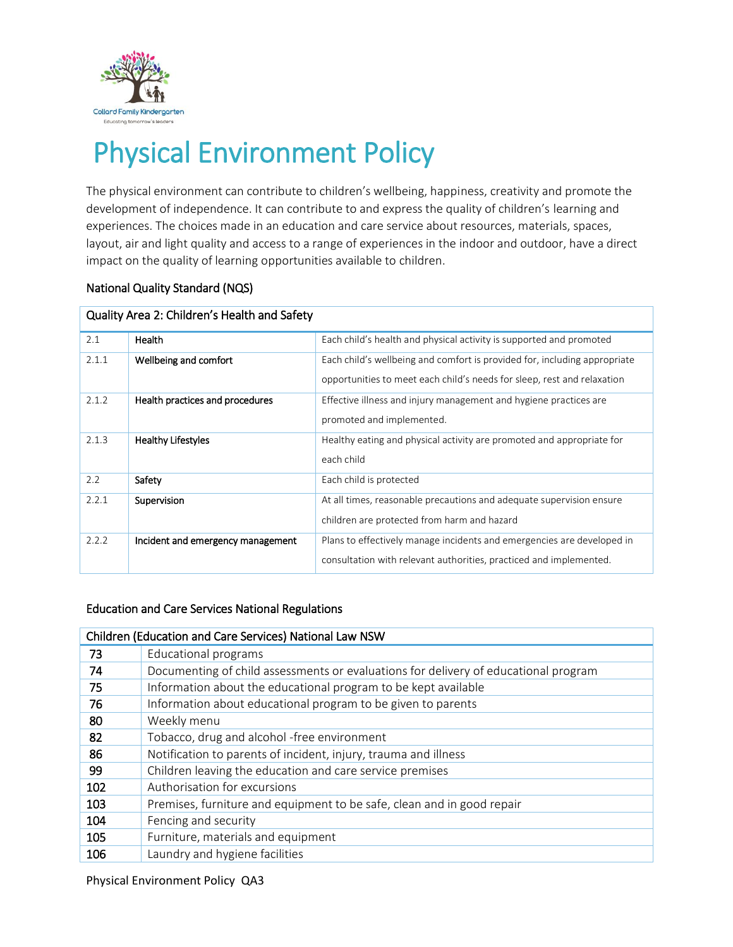

# Physical Environment Policy

The physical environment can contribute to children's wellbeing, happiness, creativity and promote the development of independence. It can contribute to and express the quality of children's learning and experiences. The choices made in an education and care service about resources, materials, spaces, layout, air and light quality and access to a range of experiences in the indoor and outdoor, have a direct impact on the quality of learning opportunities available to children.

#### National Quality Standard (NQS)

| Quality Area 2: Children's Health and Safety |                                   |                                                                           |  |  |  |
|----------------------------------------------|-----------------------------------|---------------------------------------------------------------------------|--|--|--|
| 2.1                                          | Health                            | Each child's health and physical activity is supported and promoted       |  |  |  |
| 2.1.1                                        | Wellbeing and comfort             | Each child's wellbeing and comfort is provided for, including appropriate |  |  |  |
|                                              |                                   | opportunities to meet each child's needs for sleep, rest and relaxation   |  |  |  |
| 2.1.2                                        | Health practices and procedures   | Effective illness and injury management and hygiene practices are         |  |  |  |
|                                              |                                   | promoted and implemented.                                                 |  |  |  |
| 2.1.3                                        | <b>Healthy Lifestyles</b>         | Healthy eating and physical activity are promoted and appropriate for     |  |  |  |
|                                              |                                   | each child                                                                |  |  |  |
| 2.2                                          | Safety                            | Each child is protected                                                   |  |  |  |
| 2.2.1                                        | Supervision                       | At all times, reasonable precautions and adequate supervision ensure      |  |  |  |
|                                              |                                   | children are protected from harm and hazard                               |  |  |  |
| 2.2.2                                        | Incident and emergency management | Plans to effectively manage incidents and emergencies are developed in    |  |  |  |
|                                              |                                   | consultation with relevant authorities, practiced and implemented.        |  |  |  |

#### Quality Area 2: Children's Health and Safety

#### Education and Care Services National Regulations

| Children (Education and Care Services) National Law NSW |                                                                                     |  |  |  |
|---------------------------------------------------------|-------------------------------------------------------------------------------------|--|--|--|
| 73                                                      | Educational programs                                                                |  |  |  |
| 74                                                      | Documenting of child assessments or evaluations for delivery of educational program |  |  |  |
| 75                                                      | Information about the educational program to be kept available                      |  |  |  |
| 76                                                      | Information about educational program to be given to parents                        |  |  |  |
| 80                                                      | Weekly menu                                                                         |  |  |  |
| 82                                                      | Tobacco, drug and alcohol -free environment                                         |  |  |  |
| 86                                                      | Notification to parents of incident, injury, trauma and illness                     |  |  |  |
| 99                                                      | Children leaving the education and care service premises                            |  |  |  |
| 102                                                     | Authorisation for excursions                                                        |  |  |  |
| 103                                                     | Premises, furniture and equipment to be safe, clean and in good repair              |  |  |  |
| 104                                                     | Fencing and security                                                                |  |  |  |
| 105                                                     | Furniture, materials and equipment                                                  |  |  |  |
| 106                                                     | Laundry and hygiene facilities                                                      |  |  |  |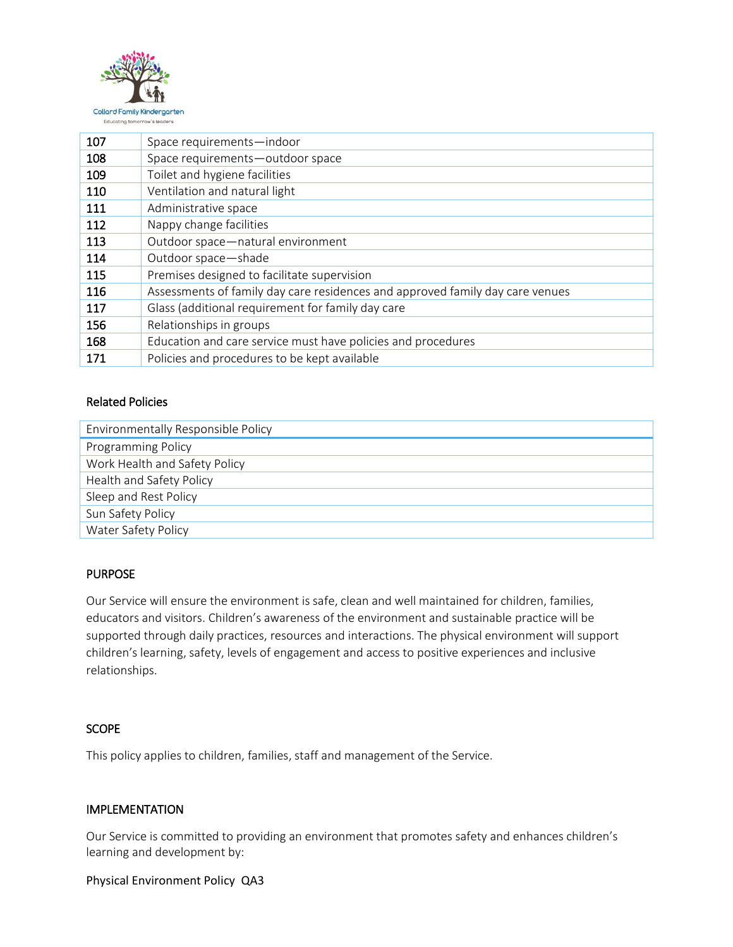

| 107 | Space requirements-indoor                                                     |  |
|-----|-------------------------------------------------------------------------------|--|
| 108 | Space requirements-outdoor space                                              |  |
| 109 | Toilet and hygiene facilities                                                 |  |
| 110 | Ventilation and natural light                                                 |  |
| 111 | Administrative space                                                          |  |
| 112 | Nappy change facilities                                                       |  |
| 113 | Outdoor space-natural environment                                             |  |
| 114 | Outdoor space-shade                                                           |  |
| 115 | Premises designed to facilitate supervision                                   |  |
| 116 | Assessments of family day care residences and approved family day care venues |  |
| 117 | Glass (additional requirement for family day care                             |  |
| 156 | Relationships in groups                                                       |  |
| 168 | Education and care service must have policies and procedures                  |  |
| 171 | Policies and procedures to be kept available                                  |  |

### Related Policies

| Environmentally Responsible Policy |  |  |  |
|------------------------------------|--|--|--|
| Programming Policy                 |  |  |  |
| Work Health and Safety Policy      |  |  |  |
| Health and Safety Policy           |  |  |  |
| Sleep and Rest Policy              |  |  |  |
| Sun Safety Policy                  |  |  |  |
| Water Safety Policy                |  |  |  |

#### PURPOSE

Our Service will ensure the environment is safe, clean and well maintained for children, families, educators and visitors. Children's awareness of the environment and sustainable practice will be supported through daily practices, resources and interactions. The physical environment will support children's learning, safety, levels of engagement and access to positive experiences and inclusive relationships.

#### **SCOPE**

This policy applies to children, families, staff and management of the Service.

#### IMPLEMENTATION

Our Service is committed to providing an environment that promotes safety and enhances children's learning and development by: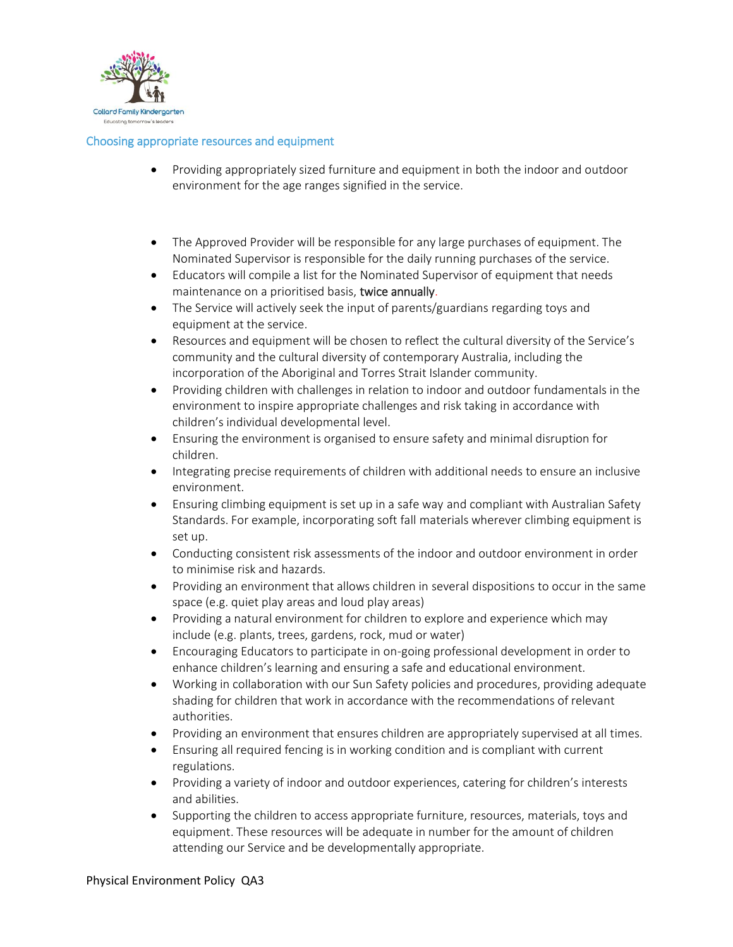

#### Choosing appropriate resources and equipment

- Providing appropriately sized furniture and equipment in both the indoor and outdoor environment for the age ranges signified in the service.
- The Approved Provider will be responsible for any large purchases of equipment. The Nominated Supervisor is responsible for the daily running purchases of the service.
- Educators will compile a list for the Nominated Supervisor of equipment that needs maintenance on a prioritised basis, twice annually.
- The Service will actively seek the input of parents/guardians regarding toys and equipment at the service.
- Resources and equipment will be chosen to reflect the cultural diversity of the Service's community and the cultural diversity of contemporary Australia, including the incorporation of the Aboriginal and Torres Strait Islander community.
- Providing children with challenges in relation to indoor and outdoor fundamentals in the environment to inspire appropriate challenges and risk taking in accordance with children's individual developmental level.
- Ensuring the environment is organised to ensure safety and minimal disruption for children.
- Integrating precise requirements of children with additional needs to ensure an inclusive environment.
- Ensuring climbing equipment is set up in a safe way and compliant with Australian Safety Standards. For example, incorporating soft fall materials wherever climbing equipment is set up.
- Conducting consistent risk assessments of the indoor and outdoor environment in order to minimise risk and hazards.
- Providing an environment that allows children in several dispositions to occur in the same space (e.g. quiet play areas and loud play areas)
- Providing a natural environment for children to explore and experience which may include (e.g. plants, trees, gardens, rock, mud or water)
- Encouraging Educators to participate in on-going professional development in order to enhance children's learning and ensuring a safe and educational environment.
- Working in collaboration with our Sun Safety policies and procedures, providing adequate shading for children that work in accordance with the recommendations of relevant authorities.
- Providing an environment that ensures children are appropriately supervised at all times.
- Ensuring all required fencing is in working condition and is compliant with current regulations.
- Providing a variety of indoor and outdoor experiences, catering for children's interests and abilities.
- Supporting the children to access appropriate furniture, resources, materials, toys and equipment. These resources will be adequate in number for the amount of children attending our Service and be developmentally appropriate.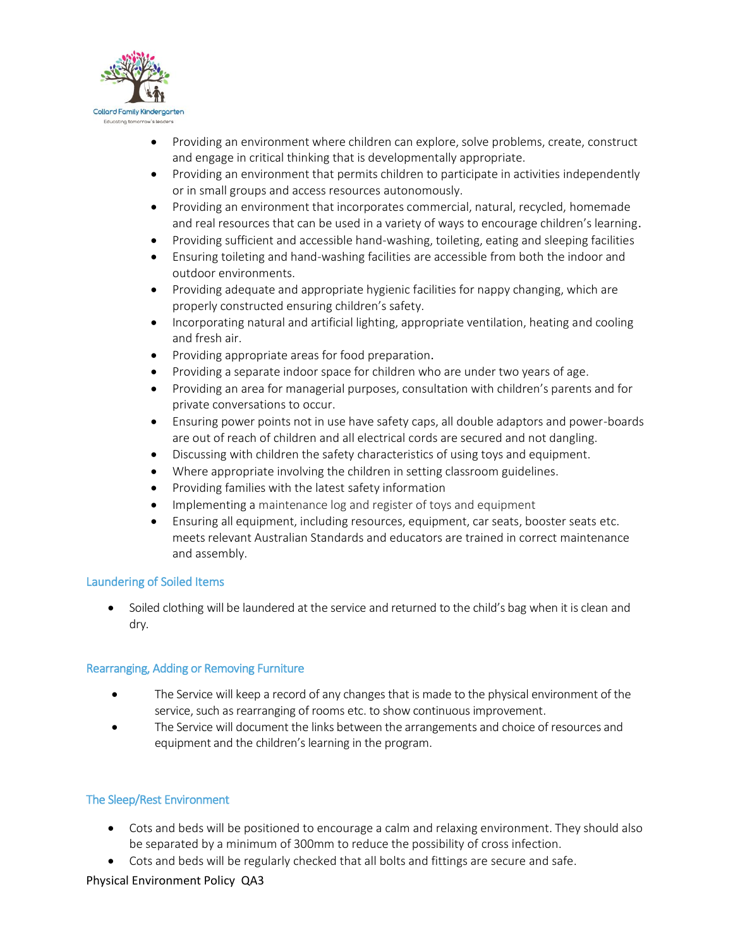

- Providing an environment where children can explore, solve problems, create, construct and engage in critical thinking that is developmentally appropriate.
- Providing an environment that permits children to participate in activities independently or in small groups and access resources autonomously.
- Providing an environment that incorporates commercial, natural, recycled, homemade and real resources that can be used in a variety of ways to encourage children's learning.
- Providing sufficient and accessible hand-washing, toileting, eating and sleeping facilities
- Ensuring toileting and hand-washing facilities are accessible from both the indoor and outdoor environments.
- Providing adequate and appropriate hygienic facilities for nappy changing, which are properly constructed ensuring children's safety.
- Incorporating natural and artificial lighting, appropriate ventilation, heating and cooling and fresh air.
- Providing appropriate areas for food preparation.
- Providing a separate indoor space for children who are under two years of age.
- Providing an area for managerial purposes, consultation with children's parents and for private conversations to occur.
- Ensuring power points not in use have safety caps, all double adaptors and power-boards are out of reach of children and all electrical cords are secured and not dangling.
- Discussing with children the safety characteristics of using toys and equipment.
- Where appropriate involving the children in setting classroom guidelines.
- Providing families with the latest safety information
- Implementing a maintenance log and register of toys and equipment
- Ensuring all equipment, including resources, equipment, car seats, booster seats etc. meets relevant Australian Standards and educators are trained in correct maintenance and assembly.

#### Laundering of Soiled Items

 Soiled clothing will be laundered at the service and returned to the child's bag when it is clean and dry.

#### Rearranging, Adding or Removing Furniture

- The Service will keep a record of any changes that is made to the physical environment of the service, such as rearranging of rooms etc. to show continuous improvement.
- The Service will document the links between the arrangements and choice of resources and equipment and the children's learning in the program.

# The Sleep/Rest Environment

- Cots and beds will be positioned to encourage a calm and relaxing environment. They should also be separated by a minimum of 300mm to reduce the possibility of cross infection.
- Cots and beds will be regularly checked that all bolts and fittings are secure and safe.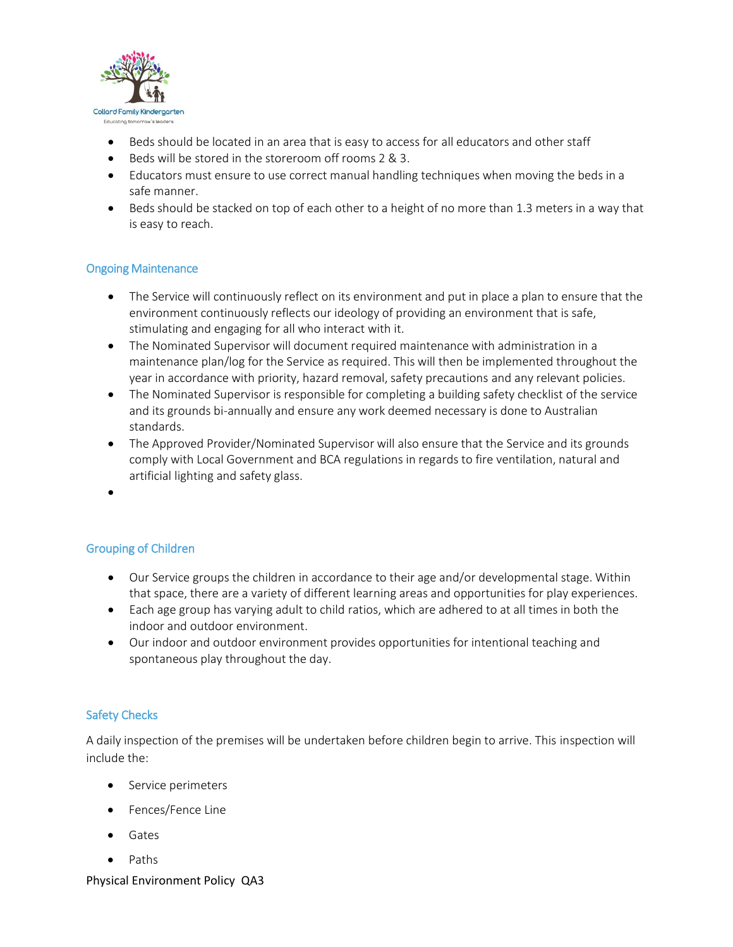

- Beds should be located in an area that is easy to access for all educators and other staff
- Beds will be stored in the storeroom off rooms 2 & 3.
- Educators must ensure to use correct manual handling techniques when moving the beds in a safe manner.
- Beds should be stacked on top of each other to a height of no more than 1.3 meters in a way that is easy to reach.

#### Ongoing Maintenance

- The Service will continuously reflect on its environment and put in place a plan to ensure that the environment continuously reflects our ideology of providing an environment that is safe, stimulating and engaging for all who interact with it.
- The Nominated Supervisor will document required maintenance with administration in a maintenance plan/log for the Service as required. This will then be implemented throughout the year in accordance with priority, hazard removal, safety precautions and any relevant policies.
- The Nominated Supervisor is responsible for completing a building safety checklist of the service and its grounds bi-annually and ensure any work deemed necessary is done to Australian standards.
- The Approved Provider/Nominated Supervisor will also ensure that the Service and its grounds comply with Local Government and BCA regulations in regards to fire ventilation, natural and artificial lighting and safety glass.
- $\bullet$

# Grouping of Children

- Our Service groups the children in accordance to their age and/or developmental stage. Within that space, there are a variety of different learning areas and opportunities for play experiences.
- Each age group has varying adult to child ratios, which are adhered to at all times in both the indoor and outdoor environment.
- Our indoor and outdoor environment provides opportunities for intentional teaching and spontaneous play throughout the day.

#### Safety Checks

A daily inspection of the premises will be undertaken before children begin to arrive. This inspection will include the:

- Service perimeters
- Fences/Fence Line
- Gates
- Paths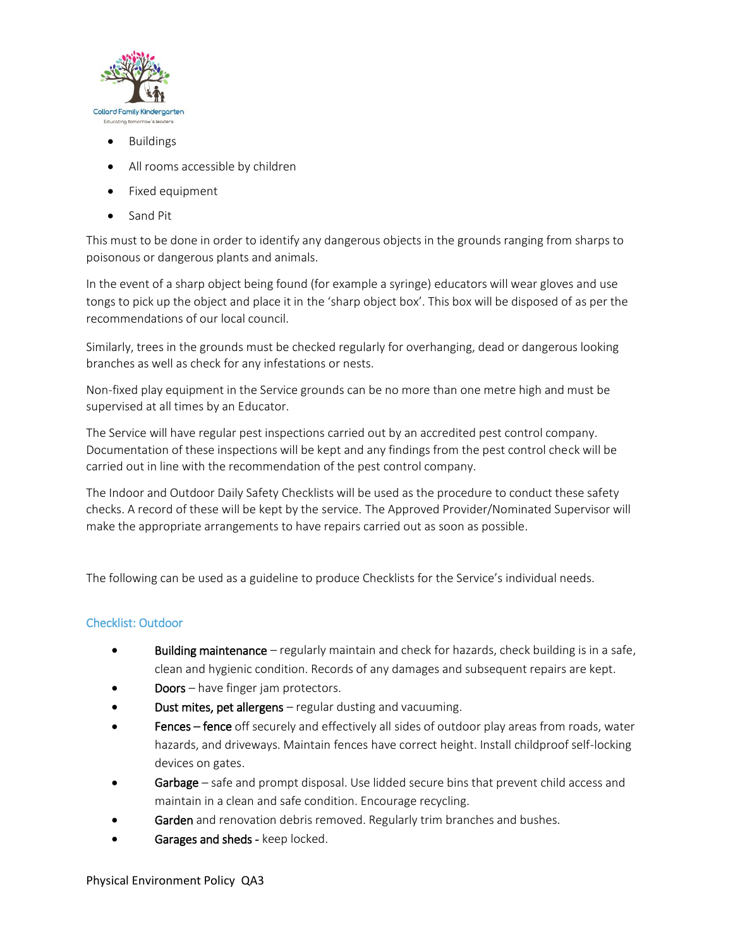

- Buildings
- All rooms accessible by children
- Fixed equipment
- Sand Pit

This must to be done in order to identify any dangerous objects in the grounds ranging from sharps to poisonous or dangerous plants and animals.

In the event of a sharp object being found (for example a syringe) educators will wear gloves and use tongs to pick up the object and place it in the 'sharp object box'. This box will be disposed of as per the recommendations of our local council.

Similarly, trees in the grounds must be checked regularly for overhanging, dead or dangerous looking branches as well as check for any infestations or nests.

Non-fixed play equipment in the Service grounds can be no more than one metre high and must be supervised at all times by an Educator.

The Service will have regular pest inspections carried out by an accredited pest control company. Documentation of these inspections will be kept and any findings from the pest control check will be carried out in line with the recommendation of the pest control company.

The Indoor and Outdoor Daily Safety Checklists will be used as the procedure to conduct these safety checks. A record of these will be kept by the service. The Approved Provider/Nominated Supervisor will make the appropriate arrangements to have repairs carried out as soon as possible.

The following can be used as a guideline to produce Checklists for the Service's individual needs.

# Checklist: Outdoor

- **Building maintenance** regularly maintain and check for hazards, check building is in a safe, clean and hygienic condition. Records of any damages and subsequent repairs are kept.
- Doors have finger jam protectors.
- Dust mites, pet allergens regular dusting and vacuuming.
- Fences fence off securely and effectively all sides of outdoor play areas from roads, water hazards, and driveways. Maintain fences have correct height. Install childproof self-locking devices on gates.
- Garbage safe and prompt disposal. Use lidded secure bins that prevent child access and maintain in a clean and safe condition. Encourage recycling.
- Garden and renovation debris removed. Regularly trim branches and bushes.
- Garages and sheds keep locked.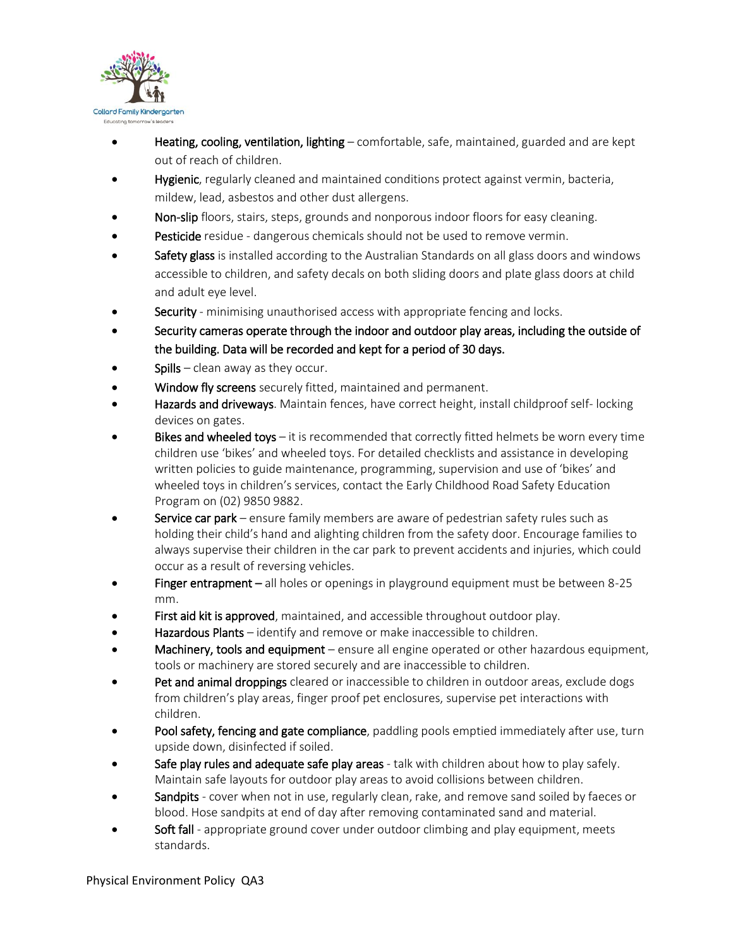

- Heating, cooling, ventilation, lighting comfortable, safe, maintained, guarded and are kept out of reach of children.
- Hygienic, regularly cleaned and maintained conditions protect against vermin, bacteria, mildew, lead, asbestos and other dust allergens.
- Non-slip floors, stairs, steps, grounds and nonporous indoor floors for easy cleaning.
- Pesticide residue dangerous chemicals should not be used to remove vermin.
- Safety glass is installed according to the Australian Standards on all glass doors and windows accessible to children, and safety decals on both sliding doors and plate glass doors at child and adult eye level.
- Security minimising unauthorised access with appropriate fencing and locks.
- Security cameras operate through the indoor and outdoor play areas, including the outside of the building. Data will be recorded and kept for a period of 30 days.
- Spills clean away as they occur.
- Window fly screens securely fitted, maintained and permanent.
- Hazards and driveways. Maintain fences, have correct height, install childproof self-locking devices on gates.
- Bikes and wheeled toys it is recommended that correctly fitted helmets be worn every time children use 'bikes' and wheeled toys. For detailed checklists and assistance in developing written policies to guide maintenance, programming, supervision and use of 'bikes' and wheeled toys in children's services, contact the Early Childhood Road Safety Education Program on (02) 9850 9882.
- Service car park ensure family members are aware of pedestrian safety rules such as holding their child's hand and alighting children from the safety door. Encourage families to always supervise their children in the car park to prevent accidents and injuries, which could occur as a result of reversing vehicles.
- Finger entrapment all holes or openings in playground equipment must be between 8-25 mm.
- First aid kit is approved, maintained, and accessible throughout outdoor play.
- Hazardous Plants identify and remove or make inaccessible to children.
- Machinery, tools and equipment ensure all engine operated or other hazardous equipment, tools or machinery are stored securely and are inaccessible to children.
- Pet and animal droppings cleared or inaccessible to children in outdoor areas, exclude dogs from children's play areas, finger proof pet enclosures, supervise pet interactions with children.
- Pool safety, fencing and gate compliance, paddling pools emptied immediately after use, turn upside down, disinfected if soiled.
- Safe play rules and adequate safe play areas talk with children about how to play safely. Maintain safe layouts for outdoor play areas to avoid collisions between children.
- Sandpits cover when not in use, regularly clean, rake, and remove sand soiled by faeces or blood. Hose sandpits at end of day after removing contaminated sand and material.
- Soft fall appropriate ground cover under outdoor climbing and play equipment, meets standards.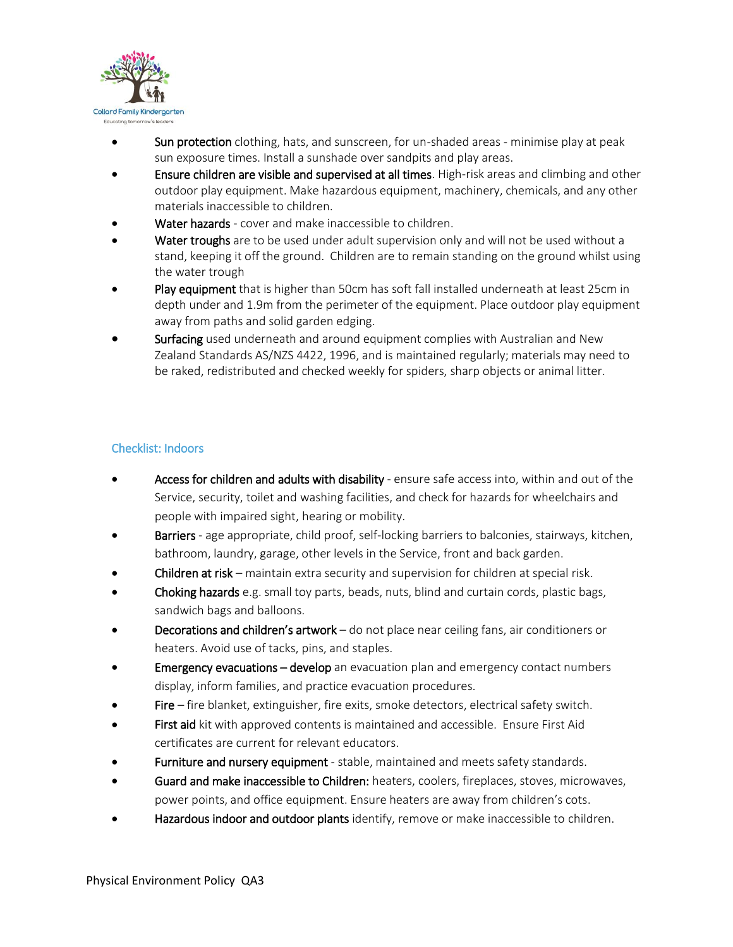

- Sun protection clothing, hats, and sunscreen, for un-shaded areas minimise play at peak sun exposure times. Install a sunshade over sandpits and play areas.
- **Ensure children are visible and supervised at all times**. High-risk areas and climbing and other outdoor play equipment. Make hazardous equipment, machinery, chemicals, and any other materials inaccessible to children.
- Water hazards cover and make inaccessible to children.
- Water troughs are to be used under adult supervision only and will not be used without a stand, keeping it off the ground. Children are to remain standing on the ground whilst using the water trough
- Play equipment that is higher than 50cm has soft fall installed underneath at least 25cm in depth under and 1.9m from the perimeter of the equipment. Place outdoor play equipment away from paths and solid garden edging.
- Surfacing used underneath and around equipment complies with Australian and New Zealand Standards AS/NZS 4422, 1996, and is maintained regularly; materials may need to be raked, redistributed and checked weekly for spiders, sharp objects or animal litter.

# Checklist: Indoors

- Access for children and adults with disability ensure safe access into, within and out of the Service, security, toilet and washing facilities, and check for hazards for wheelchairs and people with impaired sight, hearing or mobility.
- Barriers age appropriate, child proof, self-locking barriers to balconies, stairways, kitchen, bathroom, laundry, garage, other levels in the Service, front and back garden.
- Children at risk maintain extra security and supervision for children at special risk.
- Choking hazards e.g. small toy parts, beads, nuts, blind and curtain cords, plastic bags, sandwich bags and balloons.
- Decorations and children's artwork do not place near ceiling fans, air conditioners or heaters. Avoid use of tacks, pins, and staples.
- Emergency evacuations develop an evacuation plan and emergency contact numbers display, inform families, and practice evacuation procedures.
- Fire fire blanket, extinguisher, fire exits, smoke detectors, electrical safety switch.
- First aid kit with approved contents is maintained and accessible. Ensure First Aid certificates are current for relevant educators.
- Furniture and nursery equipment stable, maintained and meets safety standards.
- **Guard and make inaccessible to Children:** heaters, coolers, fireplaces, stoves, microwaves, power points, and office equipment. Ensure heaters are away from children's cots.
- Hazardous indoor and outdoor plants identify, remove or make inaccessible to children.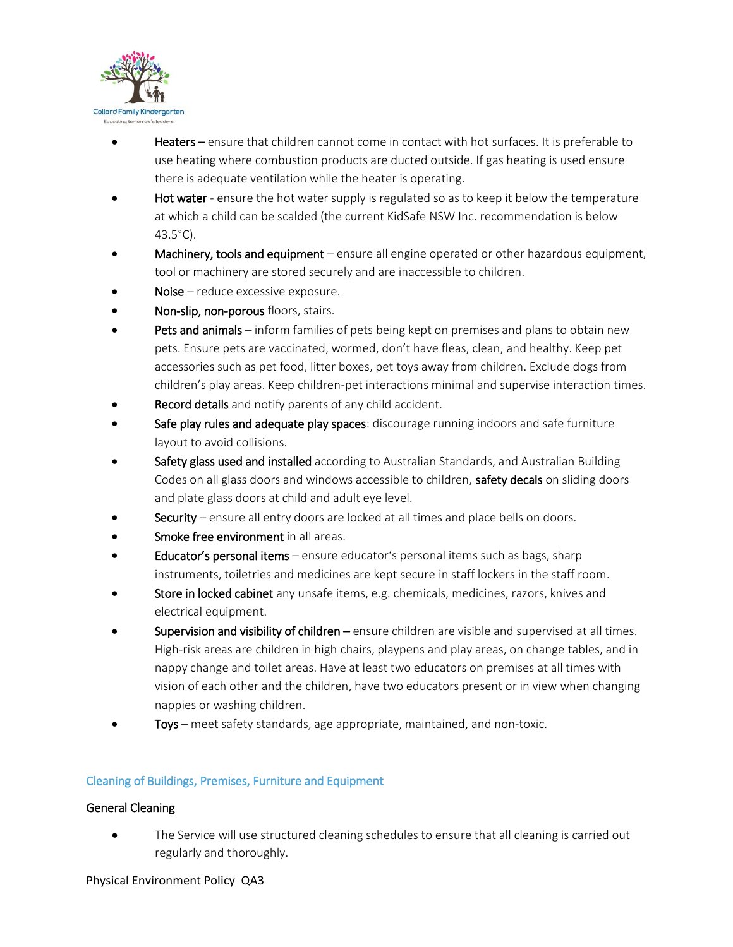

- Heaters ensure that children cannot come in contact with hot surfaces. It is preferable to use heating where combustion products are ducted outside. If gas heating is used ensure there is adequate ventilation while the heater is operating.
- Hot water ensure the hot water supply is regulated so as to keep it below the temperature at which a child can be scalded (the current KidSafe NSW Inc. recommendation is below 43.5°C).
- Machinery, tools and equipment ensure all engine operated or other hazardous equipment, tool or machinery are stored securely and are inaccessible to children.
- Noise reduce excessive exposure.
- Non-slip, non-porous floors, stairs.
- Pets and animals inform families of pets being kept on premises and plans to obtain new pets. Ensure pets are vaccinated, wormed, don't have fleas, clean, and healthy. Keep pet accessories such as pet food, litter boxes, pet toys away from children. Exclude dogs from children's play areas. Keep children-pet interactions minimal and supervise interaction times.
- Record details and notify parents of any child accident.
- Safe play rules and adequate play spaces: discourage running indoors and safe furniture layout to avoid collisions.
- Safety glass used and installed according to Australian Standards, and Australian Building Codes on all glass doors and windows accessible to children, safety decals on sliding doors and plate glass doors at child and adult eye level.
- Security ensure all entry doors are locked at all times and place bells on doors.
- Smoke free environment in all areas.
- Educator's personal items ensure educator's personal items such as bags, sharp instruments, toiletries and medicines are kept secure in staff lockers in the staff room.
- Store in locked cabinet any unsafe items, e.g. chemicals, medicines, razors, knives and electrical equipment.
- Supervision and visibility of children ensure children are visible and supervised at all times. High-risk areas are children in high chairs, playpens and play areas, on change tables, and in nappy change and toilet areas. Have at least two educators on premises at all times with vision of each other and the children, have two educators present or in view when changing nappies or washing children.
- Toys meet safety standards, age appropriate, maintained, and non-toxic.

# Cleaning of Buildings, Premises, Furniture and Equipment

#### General Cleaning

• The Service will use structured cleaning schedules to ensure that all cleaning is carried out regularly and thoroughly.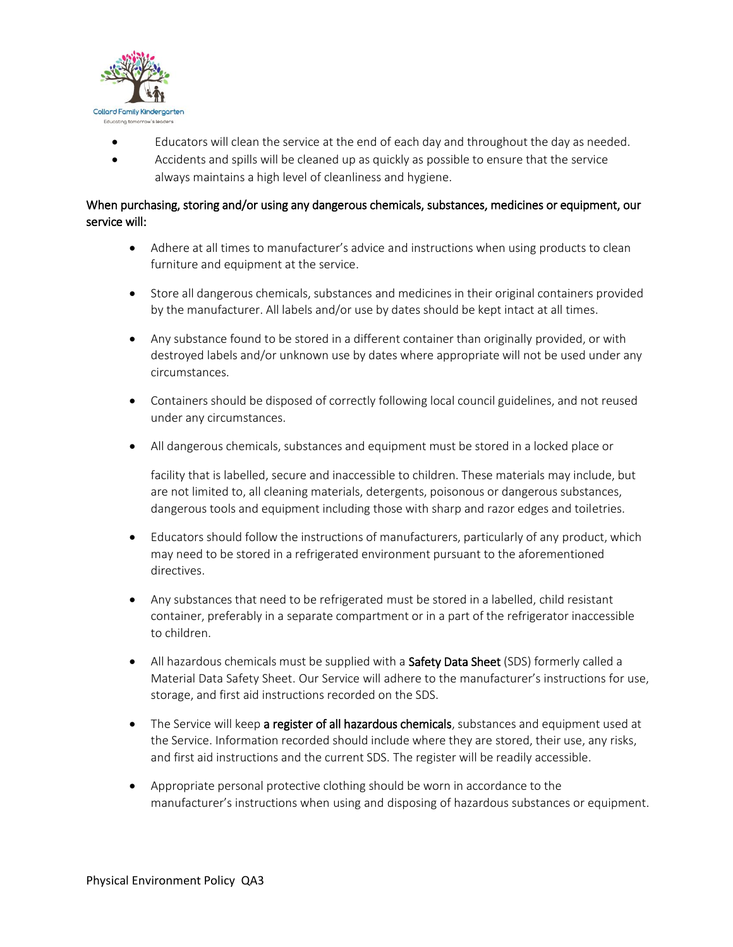

- Educators will clean the service at the end of each day and throughout the day as needed.
- Accidents and spills will be cleaned up as quickly as possible to ensure that the service always maintains a high level of cleanliness and hygiene.

# When purchasing, storing and/or using any dangerous chemicals, substances, medicines or equipment, our service will:

- Adhere at all times to manufacturer's advice and instructions when using products to clean furniture and equipment at the service.
- Store all dangerous chemicals, substances and medicines in their original containers provided by the manufacturer. All labels and/or use by dates should be kept intact at all times.
- Any substance found to be stored in a different container than originally provided, or with destroyed labels and/or unknown use by dates where appropriate will not be used under any circumstances.
- Containers should be disposed of correctly following local council guidelines, and not reused under any circumstances.
- All dangerous chemicals, substances and equipment must be stored in a locked place or

facility that is labelled, secure and inaccessible to children. These materials may include, but are not limited to, all cleaning materials, detergents, poisonous or dangerous substances, dangerous tools and equipment including those with sharp and razor edges and toiletries.

- Educators should follow the instructions of manufacturers, particularly of any product, which may need to be stored in a refrigerated environment pursuant to the aforementioned directives.
- Any substances that need to be refrigerated must be stored in a labelled, child resistant container, preferably in a separate compartment or in a part of the refrigerator inaccessible to children.
- All hazardous chemicals must be supplied with a **Safety Data Sheet** (SDS) formerly called a Material Data Safety Sheet. Our Service will adhere to the manufacturer's instructions for use, storage, and first aid instructions recorded on the SDS.
- The Service will keep a register of all hazardous chemicals, substances and equipment used at the Service. Information recorded should include where they are stored, their use, any risks, and first aid instructions and the current SDS. The register will be readily accessible.
- Appropriate personal protective clothing should be worn in accordance to the manufacturer's instructions when using and disposing of hazardous substances or equipment.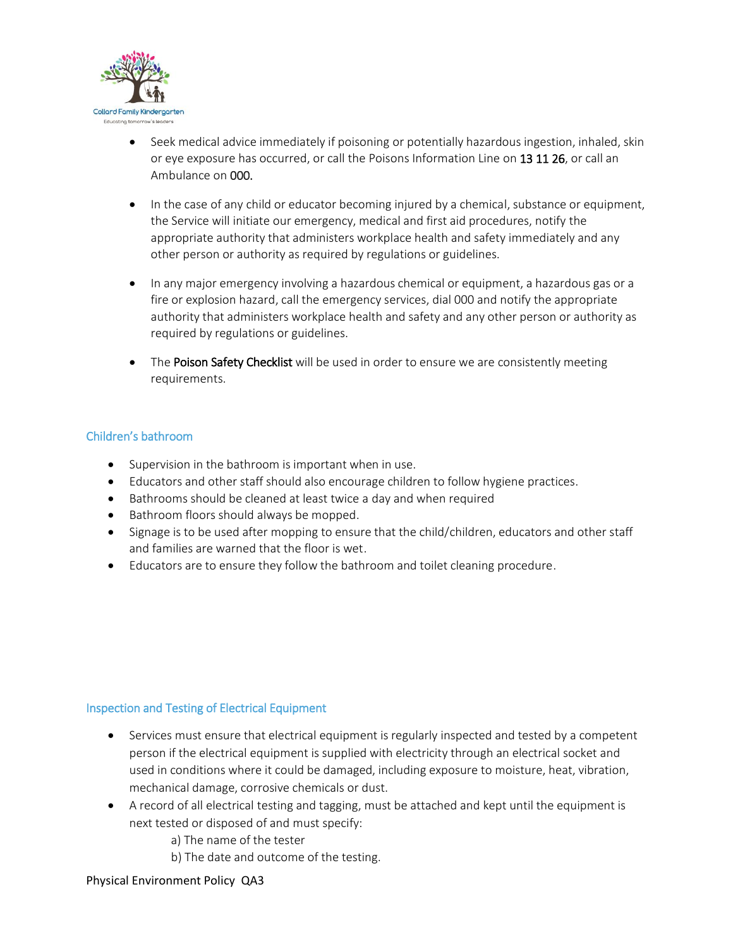

- Seek medical advice immediately if poisoning or potentially hazardous ingestion, inhaled, skin or eye exposure has occurred, or call the Poisons Information Line on 13 11 26, or call an Ambulance on 000.
- In the case of any child or educator becoming injured by a chemical, substance or equipment, the Service will initiate our emergency, medical and first aid procedures, notify the appropriate authority that administers workplace health and safety immediately and any other person or authority as required by regulations or guidelines.
- In any major emergency involving a hazardous chemical or equipment, a hazardous gas or a fire or explosion hazard, call the emergency services, dial 000 and notify the appropriate authority that administers workplace health and safety and any other person or authority as required by regulations or guidelines.
- The Poison Safety Checklist will be used in order to ensure we are consistently meeting requirements.

# Children's bathroom

- Supervision in the bathroom is important when in use.
- Educators and other staff should also encourage children to follow hygiene practices.
- Bathrooms should be cleaned at least twice a day and when required
- Bathroom floors should always be mopped.
- Signage is to be used after mopping to ensure that the child/children, educators and other staff and families are warned that the floor is wet.
- Educators are to ensure they follow the bathroom and toilet cleaning procedure.

#### Inspection and Testing of Electrical Equipment

- Services must ensure that electrical equipment is regularly inspected and tested by a competent person if the electrical equipment is supplied with electricity through an electrical socket and used in conditions where it could be damaged, including exposure to moisture, heat, vibration, mechanical damage, corrosive chemicals or dust.
- A record of all electrical testing and tagging, must be attached and kept until the equipment is next tested or disposed of and must specify:
	- a) The name of the tester
	- b) The date and outcome of the testing.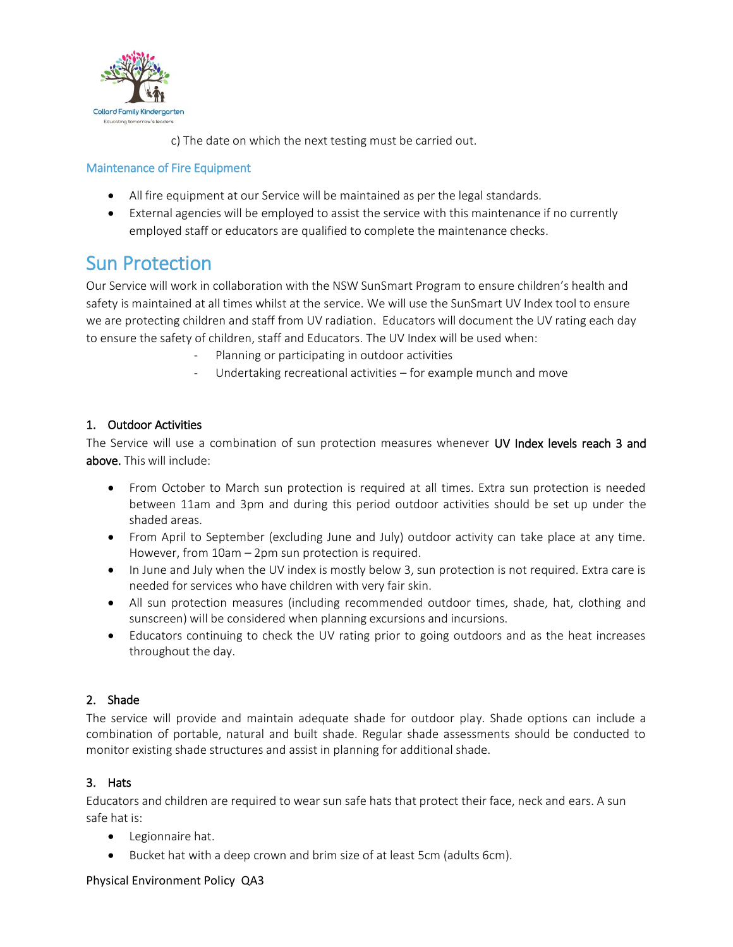

c) The date on which the next testing must be carried out.

# Maintenance of Fire Equipment

- All fire equipment at our Service will be maintained as per the legal standards.
- External agencies will be employed to assist the service with this maintenance if no currently employed staff or educators are qualified to complete the maintenance checks.

# Sun Protection

Our Service will work in collaboration with the NSW SunSmart Program to ensure children's health and safety is maintained at all times whilst at the service. We will use the SunSmart UV Index tool to ensure we are protecting children and staff from UV radiation. Educators will document the UV rating each day to ensure the safety of children, staff and Educators. The UV Index will be used when:

- Planning or participating in outdoor activities
- Undertaking recreational activities for example munch and move

# 1. Outdoor Activities

The Service will use a combination of sun protection measures whenever UV Index levels reach 3 and above. This will include:

- From October to March sun protection is required at all times. Extra sun protection is needed between 11am and 3pm and during this period outdoor activities should be set up under the shaded areas.
- From April to September (excluding June and July) outdoor activity can take place at any time. However, from 10am – 2pm sun protection is required.
- In June and July when the UV index is mostly below 3, sun protection is not required. Extra care is needed for services who have children with very fair skin.
- All sun protection measures (including recommended outdoor times, shade, hat, clothing and sunscreen) will be considered when planning excursions and incursions.
- Educators continuing to check the UV rating prior to going outdoors and as the heat increases throughout the day.

# 2. Shade

The service will provide and maintain adequate shade for outdoor play. Shade options can include a combination of portable, natural and built shade. Regular shade assessments should be conducted to monitor existing shade structures and assist in planning for additional shade.

# 3. Hats

Educators and children are required to wear sun safe hats that protect their face, neck and ears. A sun safe hat is:

- Legionnaire hat.
- Bucket hat with a deep crown and brim size of at least 5cm (adults 6cm).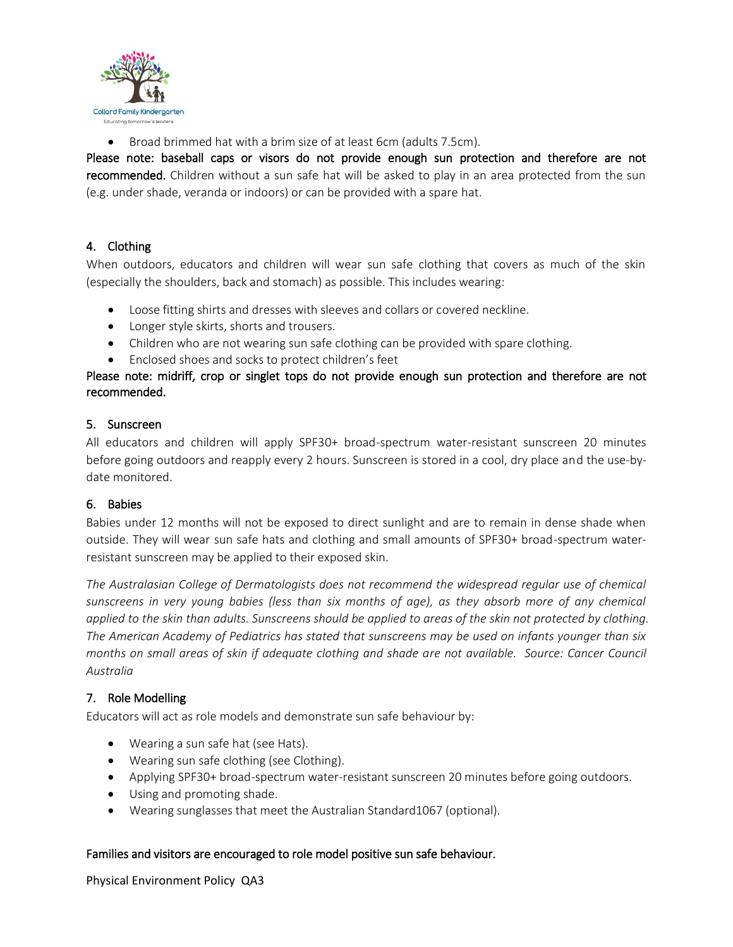

Broad brimmed hat with a brim size of at least 6cm (adults 7.5cm).

Please note: baseball caps or visors do not provide enough sun protection and therefore are not recommended. Children without a sun safe hat will be asked to play in an area protected from the sun (e.g. under shade, veranda or indoors) or can be provided with a spare hat.

# 4. Clothing

When outdoors, educators and children will wear sun safe clothing that covers as much of the skin (especially the shoulders, back and stomach) as possible. This includes wearing:

- Loose fitting shirts and dresses with sleeves and collars or covered neckline.
- Longer style skirts, shorts and trousers.
- Children who are not wearing sun safe clothing can be provided with spare clothing.
- Enclosed shoes and socks to protect children's feet

# Please note: midriff, crop or singlet tops do not provide enough sun protection and therefore are not recommended.

# 5. Sunscreen

All educators and children will apply SPF30+ broad-spectrum water-resistant sunscreen 20 minutes before going outdoors and reapply every 2 hours. Sunscreen is stored in a cool, dry place and the use-bydate monitored.

# 6. Babies

Babies under 12 months will not be exposed to direct sunlight and are to remain in dense shade when outside. They will wear sun safe hats and clothing and small amounts of SPF30+ broad-spectrum waterresistant sunscreen may be applied to their exposed skin.

*The Australasian College of Dermatologists does not recommend the widespread regular use of chemical sunscreens in very young babies (less than six months of age), as they absorb more of any chemical applied to the skin than adults. Sunscreens should be applied to areas of the skin not protected by clothing. The American Academy of Pediatrics has stated that sunscreens may be used on infants younger than six months on small areas of skin if adequate clothing and shade are not available. Source: Cancer Council Australia*

# 7. Role Modelling

Educators will act as role models and demonstrate sun safe behaviour by:

- Wearing a sun safe hat (see Hats).
- Wearing sun safe clothing (see Clothing).
- Applying SPF30+ broad-spectrum water-resistant sunscreen 20 minutes before going outdoors.
- Using and promoting shade.
- Wearing sunglasses that meet the Australian Standard1067 (optional).

#### Families and visitors are encouraged to role model positive sun safe behaviour.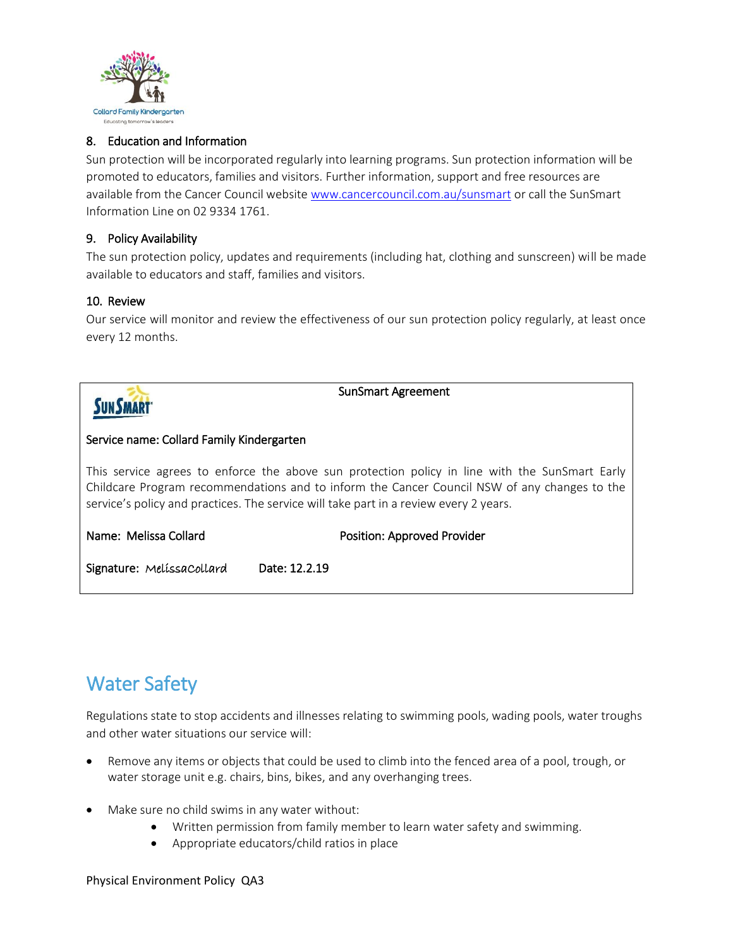

# 8. Education and Information

Sun protection will be incorporated regularly into learning programs. Sun protection information will be promoted to educators, families and visitors. Further information, support and free resources are available from the Cancer Council website [www.cancercouncil.com.au/sunsmart](http://www.cancercouncil.com.au/sunsmart) or call the SunSmart Information Line on 02 9334 1761.

#### 9. Policy Availability

The sun protection policy, updates and requirements (including hat, clothing and sunscreen) will be made available to educators and staff, families and visitors.

#### 10. Review

Our service will monitor and review the effectiveness of our sun protection policy regularly, at least once every 12 months.



SunSmart Agreement

#### Service name: Collard Family Kindergarten

This service agrees to enforce the above sun protection policy in line with the SunSmart Early Childcare Program recommendations and to inform the Cancer Council NSW of any changes to the service's policy and practices. The service will take part in a review every 2 years.

#### Name: Melissa Collard **Position: Approved Provider** Position: Approved Provider

Signature: MelíssaCollard Date: 12.2.19

# Water Safety

Regulations state to stop accidents and illnesses relating to swimming pools, wading pools, water troughs and other water situations our service will:

- Remove any items or objects that could be used to climb into the fenced area of a pool, trough, or water storage unit e.g. chairs, bins, bikes, and any overhanging trees.
- Make sure no child swims in any water without:
	- Written permission from family member to learn water safety and swimming.
	- Appropriate educators/child ratios in place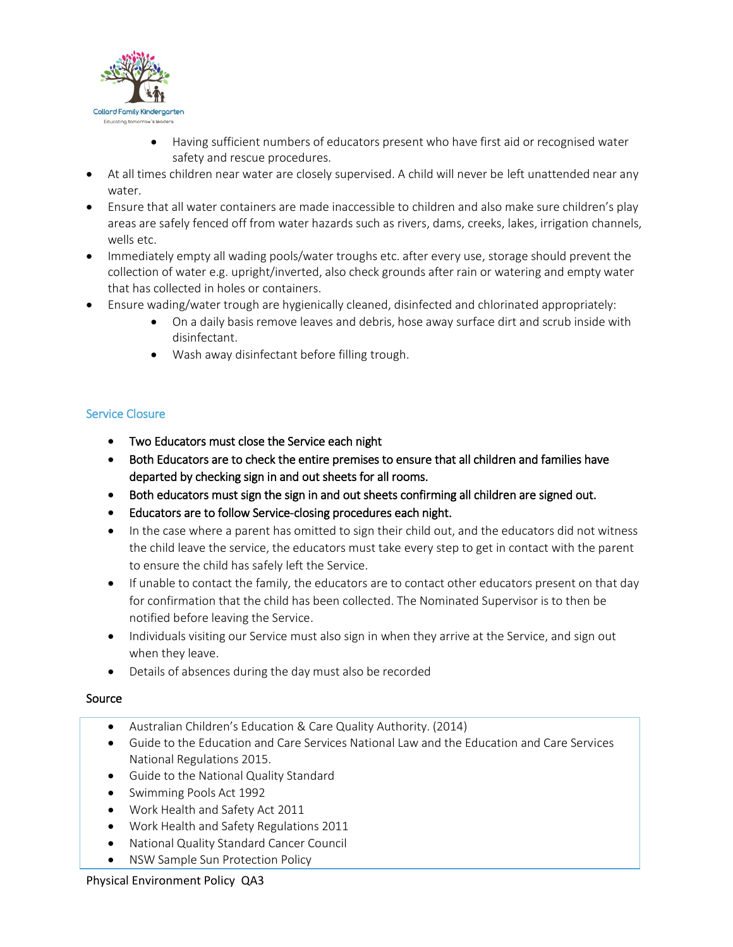

- Having sufficient numbers of educators present who have first aid or recognised water safety and rescue procedures.
- At all times children near water are closely supervised. A child will never be left unattended near any water.
- Ensure that all water containers are made inaccessible to children and also make sure children's play areas are safely fenced off from water hazards such as rivers, dams, creeks, lakes, irrigation channels, wells etc.
- Immediately empty all wading pools/water troughs etc. after every use, storage should prevent the collection of water e.g. upright/inverted, also check grounds after rain or watering and empty water that has collected in holes or containers.
- Ensure wading/water trough are hygienically cleaned, disinfected and chlorinated appropriately:
	- On a daily basis remove leaves and debris, hose away surface dirt and scrub inside with disinfectant.
	- Wash away disinfectant before filling trough.

# Service Closure

- Two Educators must close the Service each night
- Both Educators are to check the entire premises to ensure that all children and families have departed by checking sign in and out sheets for all rooms.
- Both educators must sign the sign in and out sheets confirming all children are signed out.
- Educators are to follow Service-closing procedures each night.
- In the case where a parent has omitted to sign their child out, and the educators did not witness the child leave the service, the educators must take every step to get in contact with the parent to ensure the child has safely left the Service.
- If unable to contact the family, the educators are to contact other educators present on that day for confirmation that the child has been collected. The Nominated Supervisor is to then be notified before leaving the Service.
- Individuals visiting our Service must also sign in when they arrive at the Service, and sign out when they leave.
- Details of absences during the day must also be recorded

# Source

- Australian Children's Education & Care Quality Authority. (2014)
- Guide to the Education and Care Services National Law and the Education and Care Services National Regulations 2015.
- Guide to the National Quality Standard
- Swimming Pools Act 1992
- Work Health and Safety Act 2011
- Work Health and Safety Regulations 2011
- National Quality Standard Cancer Council
- NSW Sample Sun Protection Policy